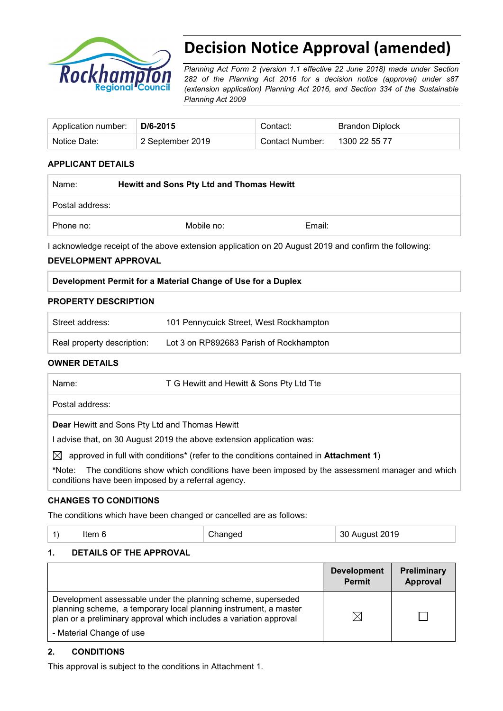

# **Decision Notice Approval (amended)**

*Planning Act Form 2 (version 1.1 effective 22 June 2018) made under Section 282 of the Planning Act 2016 for a decision notice (approval) under s87 (extension application) Planning Act 2016, and Section 334 of the Sustainable Planning Act 2009*

| Application number:   D/6-2015 |                  | Contact:        | <b>Brandon Diplock</b> |
|--------------------------------|------------------|-----------------|------------------------|
| Notice Date:                   | 2 September 2019 | Contact Number: | 1300 22 55 77          |

#### **APPLICANT DETAILS**

| Name:           | <b>Hewitt and Sons Pty Ltd and Thomas Hewitt</b> |        |
|-----------------|--------------------------------------------------|--------|
| Postal address: |                                                  |        |
| Phone no:       | Mobile no:                                       | Email: |

I acknowledge receipt of the above extension application on 20 August 2019 and confirm the following:

#### **DEVELOPMENT APPROVAL**

|--|

#### **PROPERTY DESCRIPTION**

| Street address:            | 101 Pennycuick Street, West Rockhampton |
|----------------------------|-----------------------------------------|
| Real property description: | Lot 3 on RP892683 Parish of Rockhampton |

#### **OWNER DETAILS**

| Name:                                                                 | T G Hewitt and Hewitt & Sons Pty Ltd Tte                                                                           |  |  |
|-----------------------------------------------------------------------|--------------------------------------------------------------------------------------------------------------------|--|--|
| Postal address:                                                       |                                                                                                                    |  |  |
| <b>Dear</b> Hewitt and Sons Pty Ltd and Thomas Hewitt                 |                                                                                                                    |  |  |
| I advise that, on 30 August 2019 the above extension application was: |                                                                                                                    |  |  |
| $\bowtie$                                                             | approved in full with conditions* (refer to the conditions contained in <b>Attachment 1)</b>                       |  |  |
|                                                                       | *Nister - The consiliance shortcriplets are differed because the search builded accessoried measurement coloridate |  |  |

**\***Note:The conditions show which conditions have been imposed by the assessment manager and which conditions have been imposed by a referral agency.

#### **CHANGES TO CONDITIONS**

The conditions which have been changed or cancelled are as follows:

| 30 August 2019<br>Changed<br>$\vert$ 1)<br>Item 6 |  |
|---------------------------------------------------|--|
|---------------------------------------------------|--|

#### **1. DETAILS OF THE APPROVAL**

|                                                                                                                                                                                                                                    | <b>Development</b><br><b>Permit</b> | Preliminary<br><b>Approval</b> |
|------------------------------------------------------------------------------------------------------------------------------------------------------------------------------------------------------------------------------------|-------------------------------------|--------------------------------|
| Development assessable under the planning scheme, superseded<br>planning scheme, a temporary local planning instrument, a master<br>plan or a preliminary approval which includes a variation approval<br>- Material Change of use | $\boxtimes$                         |                                |

#### **2. CONDITIONS**

This approval is subject to the conditions in Attachment 1.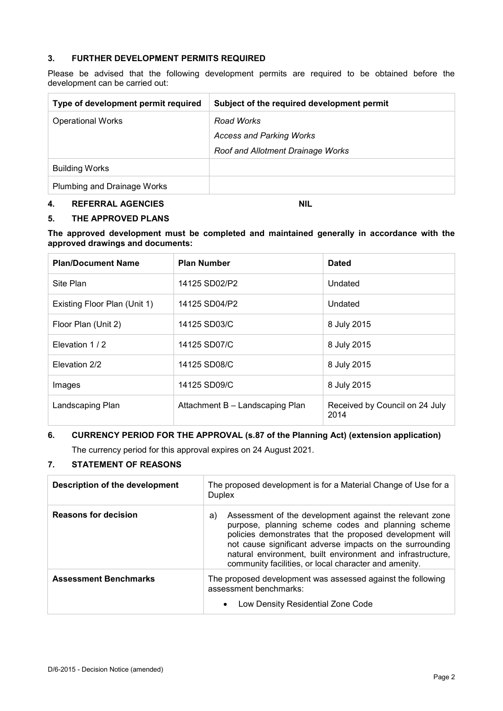#### **3. FURTHER DEVELOPMENT PERMITS REQUIRED**

Please be advised that the following development permits are required to be obtained before the development can be carried out:

| Type of development permit required | Subject of the required development permit |
|-------------------------------------|--------------------------------------------|
| <b>Operational Works</b>            | Road Works                                 |
|                                     | <b>Access and Parking Works</b>            |
|                                     | <b>Roof and Allotment Drainage Works</b>   |
| <b>Building Works</b>               |                                            |
| Plumbing and Drainage Works         |                                            |

#### **4. REFERRAL AGENCIES NIL**

#### **5. THE APPROVED PLANS**

**The approved development must be completed and maintained generally in accordance with the approved drawings and documents:**

| <b>Plan/Document Name</b>    | <b>Plan Number</b>              | <b>Dated</b>                           |
|------------------------------|---------------------------------|----------------------------------------|
| Site Plan                    | 14125 SD02/P2                   | Undated                                |
| Existing Floor Plan (Unit 1) | 14125 SD04/P2                   | Undated                                |
| Floor Plan (Unit 2)          | 14125 SD03/C                    | 8 July 2015                            |
| Elevation 1/2                | 14125 SD07/C                    | 8 July 2015                            |
| Elevation 2/2                | 14125 SD08/C                    | 8 July 2015                            |
| Images                       | 14125 SD09/C                    | 8 July 2015                            |
| Landscaping Plan             | Attachment B - Landscaping Plan | Received by Council on 24 July<br>2014 |

#### **6. CURRENCY PERIOD FOR THE APPROVAL (s.87 of the Planning Act) (extension application)**

The currency period for this approval expires on 24 August 2021.

#### **7. STATEMENT OF REASONS**

| Description of the development | The proposed development is for a Material Change of Use for a<br><b>Duplex</b>                                                                                                                                                                                                                                                                                    |  |
|--------------------------------|--------------------------------------------------------------------------------------------------------------------------------------------------------------------------------------------------------------------------------------------------------------------------------------------------------------------------------------------------------------------|--|
| <b>Reasons for decision</b>    | Assessment of the development against the relevant zone<br>a)<br>purpose, planning scheme codes and planning scheme<br>policies demonstrates that the proposed development will<br>not cause significant adverse impacts on the surrounding<br>natural environment, built environment and infrastructure,<br>community facilities, or local character and amenity. |  |
| <b>Assessment Benchmarks</b>   | The proposed development was assessed against the following<br>assessment benchmarks:<br>Low Density Residential Zone Code<br>$\bullet$                                                                                                                                                                                                                            |  |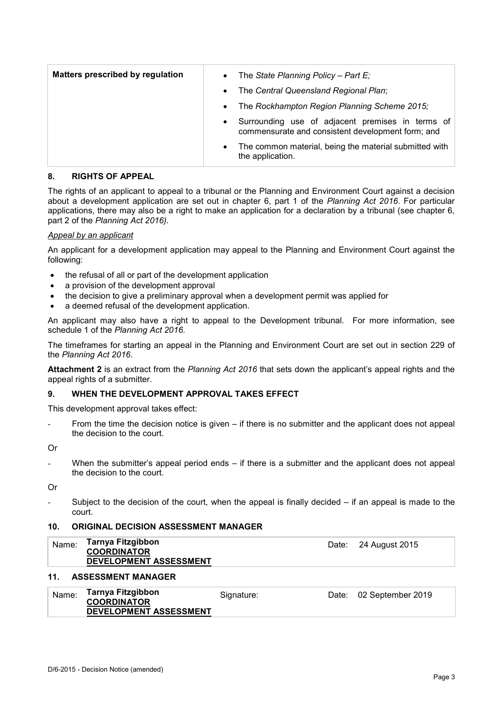| <b>Matters prescribed by regulation</b> | $\bullet$ | The State Planning Policy - Part E;                                                                   |
|-----------------------------------------|-----------|-------------------------------------------------------------------------------------------------------|
|                                         | $\bullet$ | The Central Queensland Regional Plan;                                                                 |
|                                         | $\bullet$ | The Rockhampton Region Planning Scheme 2015;                                                          |
|                                         | $\bullet$ | Surrounding use of adjacent premises in terms of<br>commensurate and consistent development form; and |
|                                         | $\bullet$ | The common material, being the material submitted with<br>the application.                            |

#### **8. RIGHTS OF APPEAL**

The rights of an applicant to appeal to a tribunal or the Planning and Environment Court against a decision about a development application are set out in chapter 6, part 1 of the *Planning Act 2016*. For particular applications, there may also be a right to make an application for a declaration by a tribunal (see chapter 6, part 2 of the *Planning Act 2016).*

#### *Appeal by an applicant*

An applicant for a development application may appeal to the Planning and Environment Court against the following:

- the refusal of all or part of the development application
- a provision of the development approval
- the decision to give a preliminary approval when a development permit was applied for
- a deemed refusal of the development application.

An applicant may also have a right to appeal to the Development tribunal. For more information, see schedule 1 of the *Planning Act 2016*.

The timeframes for starting an appeal in the Planning and Environment Court are set out in section 229 of the *Planning Act 2016*.

**Attachment 2** is an extract from the *Planning Act 2016* that sets down the applicant's appeal rights and the appeal rights of a submitter.

#### **9. WHEN THE DEVELOPMENT APPROVAL TAKES EFFECT**

This development approval takes effect:

From the time the decision notice is given – if there is no submitter and the applicant does not appeal the decision to the court.

Or

When the submitter's appeal period ends  $-$  if there is a submitter and the applicant does not appeal the decision to the court.

Or

Subject to the decision of the court, when the appeal is finally decided  $-$  if an appeal is made to the court.

#### **10. ORIGINAL DECISION ASSESSMENT MANAGER**

#### **11. ASSESSMENT MANAGER**

| Name: | Tarnya Fitzgibbon<br><b>COORDINATOR</b> | Signature: | Date: 02 September 2019 |
|-------|-----------------------------------------|------------|-------------------------|
|       | DEVELOPMENT ASSESSMENT                  |            |                         |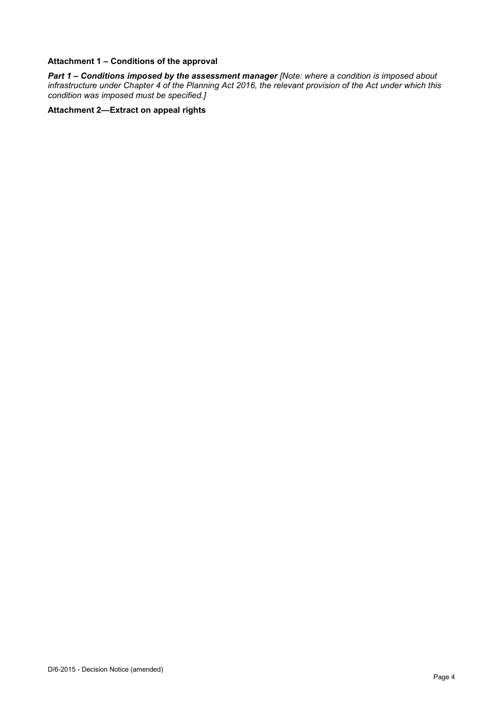#### **Attachment 1 – Conditions of the approval**

*Part 1* **–** *Conditions imposed by the assessment manager [Note: where a condition is imposed about infrastructure under Chapter 4 of the Planning Act 2016, the relevant provision of the Act under which this condition was imposed must be specified.]*

#### **Attachment 2—Extract on appeal rights**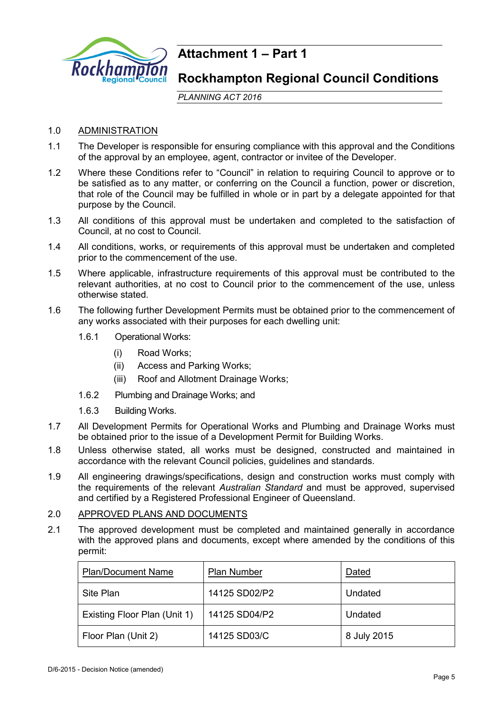

### **Attachment 1 – Part 1**

### **Rockhampton Regional Council Conditions**

*PLANNING ACT 2016*

### 1.0 ADMINISTRATION

- 1.1 The Developer is responsible for ensuring compliance with this approval and the Conditions of the approval by an employee, agent, contractor or invitee of the Developer.
- 1.2 Where these Conditions refer to "Council" in relation to requiring Council to approve or to be satisfied as to any matter, or conferring on the Council a function, power or discretion, that role of the Council may be fulfilled in whole or in part by a delegate appointed for that purpose by the Council.
- 1.3 All conditions of this approval must be undertaken and completed to the satisfaction of Council, at no cost to Council.
- 1.4 All conditions, works, or requirements of this approval must be undertaken and completed prior to the commencement of the use.
- 1.5 Where applicable, infrastructure requirements of this approval must be contributed to the relevant authorities, at no cost to Council prior to the commencement of the use, unless otherwise stated.
- 1.6 The following further Development Permits must be obtained prior to the commencement of any works associated with their purposes for each dwelling unit:
	- 1.6.1 Operational Works:
		- (i) Road Works;
		- (ii) Access and Parking Works;
		- (iii) Roof and Allotment Drainage Works;
	- 1.6.2 Plumbing and Drainage Works; and
	- 1.6.3 Building Works.
- 1.7 All Development Permits for Operational Works and Plumbing and Drainage Works must be obtained prior to the issue of a Development Permit for Building Works.
- 1.8 Unless otherwise stated, all works must be designed, constructed and maintained in accordance with the relevant Council policies, guidelines and standards.
- 1.9 All engineering drawings/specifications, design and construction works must comply with the requirements of the relevant *Australian Standard* and must be approved, supervised and certified by a Registered Professional Engineer of Queensland.

### 2.0 APPROVED PLANS AND DOCUMENTS

2.1 The approved development must be completed and maintained generally in accordance with the approved plans and documents, except where amended by the conditions of this permit:

| <b>Plan/Document Name</b>    | <b>Plan Number</b> | Dated       |
|------------------------------|--------------------|-------------|
| Site Plan                    | 14125 SD02/P2      | Undated     |
| Existing Floor Plan (Unit 1) | 14125 SD04/P2      | Undated     |
| Floor Plan (Unit 2)          | 14125 SD03/C       | 8 July 2015 |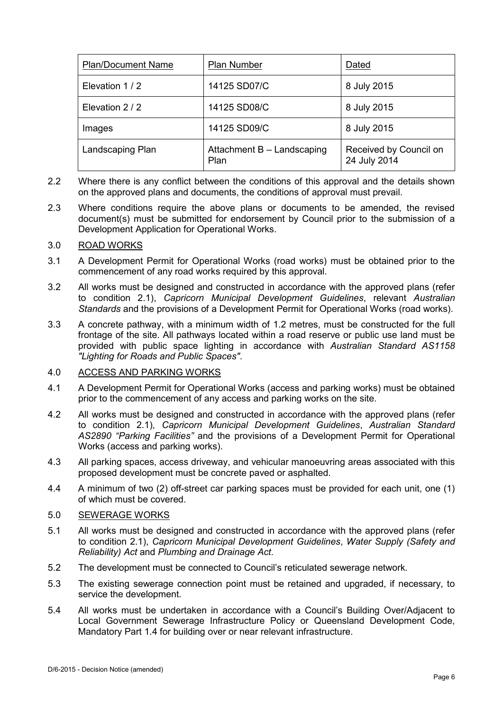| <b>Plan Number</b><br><b>Plan/Document Name</b> |                                    | Dated                                  |
|-------------------------------------------------|------------------------------------|----------------------------------------|
| Elevation 1/2                                   | 14125 SD07/C                       | 8 July 2015                            |
| Elevation 2 / 2                                 | 14125 SD08/C                       | 8 July 2015                            |
| Images                                          | 14125 SD09/C                       | 8 July 2015                            |
| Landscaping Plan                                | Attachment B - Landscaping<br>Plan | Received by Council on<br>24 July 2014 |

- 2.2 Where there is any conflict between the conditions of this approval and the details shown on the approved plans and documents, the conditions of approval must prevail.
- 2.3 Where conditions require the above plans or documents to be amended, the revised document(s) must be submitted for endorsement by Council prior to the submission of a Development Application for Operational Works.

### 3.0 ROAD WORKS

- 3.1 A Development Permit for Operational Works (road works) must be obtained prior to the commencement of any road works required by this approval.
- 3.2 All works must be designed and constructed in accordance with the approved plans (refer to condition 2.1), *Capricorn Municipal Development Guidelines*, relevant *Australian Standards* and the provisions of a Development Permit for Operational Works (road works).
- 3.3 A concrete pathway, with a minimum width of 1.2 metres, must be constructed for the full frontage of the site. All pathways located within a road reserve or public use land must be provided with public space lighting in accordance with *Australian Standard AS1158 "Lighting for Roads and Public Spaces"*.

#### 4.0 ACCESS AND PARKING WORKS

- 4.1 A Development Permit for Operational Works (access and parking works) must be obtained prior to the commencement of any access and parking works on the site.
- 4.2 All works must be designed and constructed in accordance with the approved plans (refer to condition 2.1), *Capricorn Municipal Development Guidelines*, *Australian Standard AS2890 "Parking Facilities"* and the provisions of a Development Permit for Operational Works (access and parking works).
- 4.3 All parking spaces, access driveway, and vehicular manoeuvring areas associated with this proposed development must be concrete paved or asphalted.
- 4.4 A minimum of two (2) off-street car parking spaces must be provided for each unit, one (1) of which must be covered.

#### 5.0 SEWERAGE WORKS

- 5.1 All works must be designed and constructed in accordance with the approved plans (refer to condition 2.1), *Capricorn Municipal Development Guidelines*, *Water Supply (Safety and Reliability) Act* and *Plumbing and Drainage Act*.
- 5.2 The development must be connected to Council's reticulated sewerage network*.*
- 5.3 The existing sewerage connection point must be retained and upgraded, if necessary, to service the development.
- 5.4 All works must be undertaken in accordance with a Council's Building Over/Adjacent to Local Government Sewerage Infrastructure Policy or Queensland Development Code, Mandatory Part 1.4 for building over or near relevant infrastructure.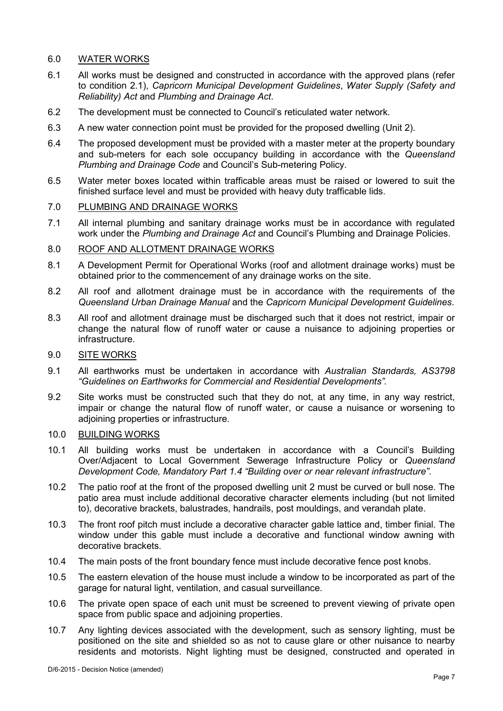### 6.0 WATER WORKS

- 6.1 All works must be designed and constructed in accordance with the approved plans (refer to condition 2.1), *Capricorn Municipal Development Guidelines*, *Water Supply (Safety and Reliability) Act* and *Plumbing and Drainage Act*.
- 6.2 The development must be connected to Council's reticulated water network*.*
- 6.3 A new water connection point must be provided for the proposed dwelling (Unit 2).
- 6.4 The proposed development must be provided with a master meter at the property boundary and sub-meters for each sole occupancy building in accordance with the *Queensland Plumbing and Drainage Code* and Council's Sub-metering Policy.
- 6.5 Water meter boxes located within trafficable areas must be raised or lowered to suit the finished surface level and must be provided with heavy duty trafficable lids.

#### 7.0 PLUMBING AND DRAINAGE WORKS

7.1 All internal plumbing and sanitary drainage works must be in accordance with regulated work under the *Plumbing and Drainage Act* and Council's Plumbing and Drainage Policies.

#### 8.0 ROOF AND ALLOTMENT DRAINAGE WORKS

- 8.1 A Development Permit for Operational Works (roof and allotment drainage works) must be obtained prior to the commencement of any drainage works on the site.
- 8.2 All roof and allotment drainage must be in accordance with the requirements of the *Queensland Urban Drainage Manual* and the *Capricorn Municipal Development Guidelines*.
- 8.3 All roof and allotment drainage must be discharged such that it does not restrict, impair or change the natural flow of runoff water or cause a nuisance to adjoining properties or infrastructure.

#### 9.0 SITE WORKS

- 9.1 All earthworks must be undertaken in accordance with *Australian Standards, AS3798 "Guidelines on Earthworks for Commercial and Residential Developments".*
- 9.2 Site works must be constructed such that they do not, at any time, in any way restrict, impair or change the natural flow of runoff water, or cause a nuisance or worsening to adioining properties or infrastructure.

#### 10.0 BUILDING WORKS

- 10.1 All building works must be undertaken in accordance with a Council's Building Over/Adjacent to Local Government Sewerage Infrastructure Policy or *Queensland Development Code, Mandatory Part 1.4 "Building over or near relevant infrastructure"*.
- 10.2 The patio roof at the front of the proposed dwelling unit 2 must be curved or bull nose. The patio area must include additional decorative character elements including (but not limited to), decorative brackets, balustrades, handrails, post mouldings, and verandah plate.
- 10.3 The front roof pitch must include a decorative character gable lattice and, timber finial. The window under this gable must include a decorative and functional window awning with decorative brackets.
- 10.4 The main posts of the front boundary fence must include decorative fence post knobs.
- 10.5 The eastern elevation of the house must include a window to be incorporated as part of the garage for natural light, ventilation, and casual surveillance.
- 10.6 The private open space of each unit must be screened to prevent viewing of private open space from public space and adjoining properties.
- 10.7 Any lighting devices associated with the development, such as sensory lighting, must be positioned on the site and shielded so as not to cause glare or other nuisance to nearby residents and motorists. Night lighting must be designed, constructed and operated in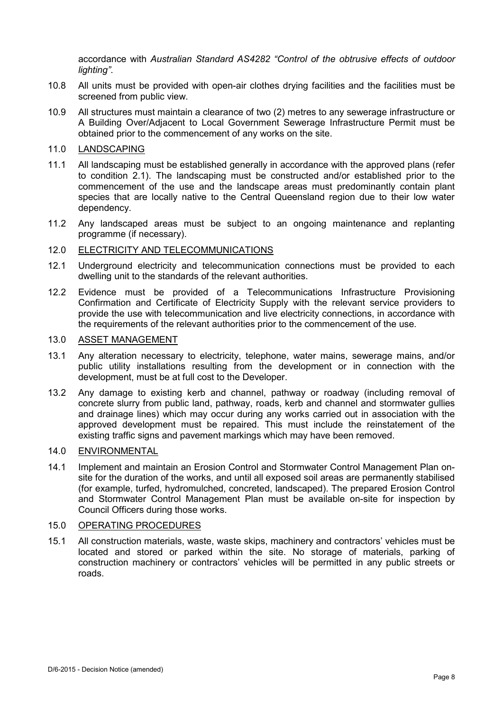accordance with *Australian Standard AS4282 "Control of the obtrusive effects of outdoor lighting"*.

- 10.8 All units must be provided with open-air clothes drying facilities and the facilities must be screened from public view.
- 10.9 All structures must maintain a clearance of two (2) metres to any sewerage infrastructure or A Building Over/Adjacent to Local Government Sewerage Infrastructure Permit must be obtained prior to the commencement of any works on the site.

#### 11.0 LANDSCAPING

- 11.1 All landscaping must be established generally in accordance with the approved plans (refer to condition 2.1). The landscaping must be constructed and/or established prior to the commencement of the use and the landscape areas must predominantly contain plant species that are locally native to the Central Queensland region due to their low water dependency.
- 11.2 Any landscaped areas must be subject to an ongoing maintenance and replanting programme (if necessary).

#### 12.0 ELECTRICITY AND TELECOMMUNICATIONS

- 12.1 Underground electricity and telecommunication connections must be provided to each dwelling unit to the standards of the relevant authorities.
- 12.2 Evidence must be provided of a Telecommunications Infrastructure Provisioning Confirmation and Certificate of Electricity Supply with the relevant service providers to provide the use with telecommunication and live electricity connections, in accordance with the requirements of the relevant authorities prior to the commencement of the use.

#### 13.0 ASSET MANAGEMENT

- 13.1 Any alteration necessary to electricity, telephone, water mains, sewerage mains, and/or public utility installations resulting from the development or in connection with the development, must be at full cost to the Developer.
- 13.2 Any damage to existing kerb and channel, pathway or roadway (including removal of concrete slurry from public land, pathway, roads, kerb and channel and stormwater gullies and drainage lines) which may occur during any works carried out in association with the approved development must be repaired. This must include the reinstatement of the existing traffic signs and pavement markings which may have been removed.

### 14.0 ENVIRONMENTAL

14.1 Implement and maintain an Erosion Control and Stormwater Control Management Plan onsite for the duration of the works, and until all exposed soil areas are permanently stabilised (for example, turfed, hydromulched, concreted, landscaped). The prepared Erosion Control and Stormwater Control Management Plan must be available on-site for inspection by Council Officers during those works.

#### 15.0 OPERATING PROCEDURES

15.1 All construction materials, waste, waste skips, machinery and contractors' vehicles must be located and stored or parked within the site. No storage of materials, parking of construction machinery or contractors' vehicles will be permitted in any public streets or roads.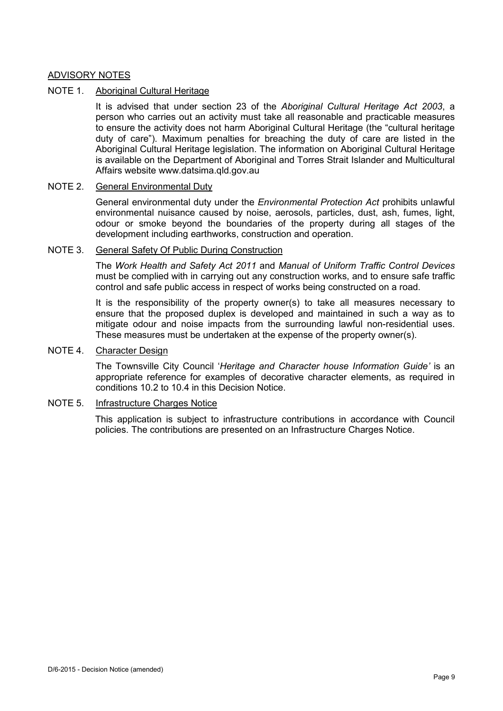#### ADVISORY NOTES

#### NOTE 1. Aboriginal Cultural Heritage

It is advised that under section 23 of the *Aboriginal Cultural Heritage Act 2003*, a person who carries out an activity must take all reasonable and practicable measures to ensure the activity does not harm Aboriginal Cultural Heritage (the "cultural heritage duty of care"). Maximum penalties for breaching the duty of care are listed in the Aboriginal Cultural Heritage legislation. The information on Aboriginal Cultural Heritage is available on the Department of Aboriginal and Torres Strait Islander and Multicultural Affairs website www.datsima.qld.gov.au

#### NOTE 2. General Environmental Duty

General environmental duty under the *Environmental Protection Act* prohibits unlawful environmental nuisance caused by noise, aerosols, particles, dust, ash, fumes, light, odour or smoke beyond the boundaries of the property during all stages of the development including earthworks, construction and operation.

#### NOTE 3. General Safety Of Public During Construction

The *Work Health and Safety Act 2011* and *Manual of Uniform Traffic Control Devices* must be complied with in carrying out any construction works, and to ensure safe traffic control and safe public access in respect of works being constructed on a road.

It is the responsibility of the property owner(s) to take all measures necessary to ensure that the proposed duplex is developed and maintained in such a way as to mitigate odour and noise impacts from the surrounding lawful non-residential uses. These measures must be undertaken at the expense of the property owner(s).

#### NOTE 4. Character Design

The Townsville City Council '*Heritage and Character house Information Guide'* is an appropriate reference for examples of decorative character elements, as required in conditions 10.2 to 10.4 in this Decision Notice.

#### NOTE 5. Infrastructure Charges Notice

This application is subject to infrastructure contributions in accordance with Council policies. The contributions are presented on an Infrastructure Charges Notice.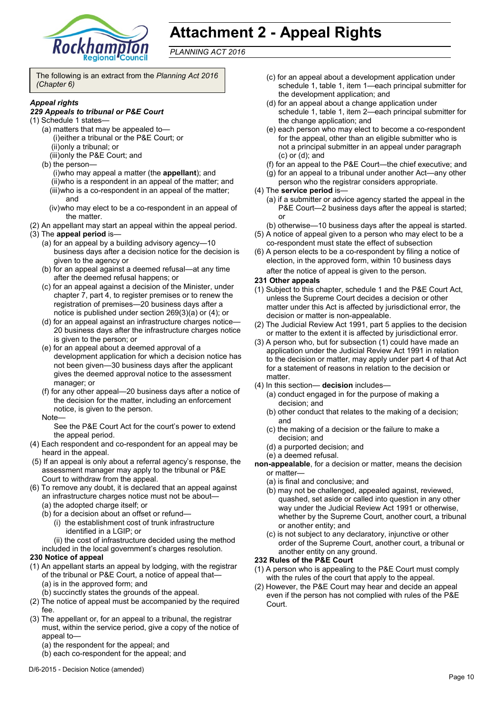

## **Attachment 2 - Appeal Rights**

*PLANNING ACT 2016*

The following is an extract from the *Planning Act 2016 (Chapter 6)*

#### *Appeal rights*

#### *229 Appeals to tribunal or P&E Court*

- (1) Schedule 1 states—
	- (a) matters that may be appealed to— (i)either a tribunal or the P&E Court; or (ii)only a tribunal; or
		- (iii)only the P&E Court; and
	- (b) the person—

(i)who may appeal a matter (the **appellant**); and (ii)who is a respondent in an appeal of the matter; and (iii)who is a co-respondent in an appeal of the matter; and

- (iv)who may elect to be a co-respondent in an appeal of the matter.
- (2) An appellant may start an appeal within the appeal period.
- (3) The **appeal period** is—
	- (a) for an appeal by a building advisory agency—10 business days after a decision notice for the decision is given to the agency or
	- (b) for an appeal against a deemed refusal—at any time after the deemed refusal happens; or
	- (c) for an appeal against a decision of the Minister, under chapter 7, part 4, to register premises or to renew the registration of premises—20 business days after a notice is published under section 269(3)(a) or (4); or
	- (d) for an appeal against an infrastructure charges notice— 20 business days after the infrastructure charges notice is given to the person; or
	- (e) for an appeal about a deemed approval of a development application for which a decision notice has not been given—30 business days after the applicant gives the deemed approval notice to the assessment manager; or
	- (f) for any other appeal—20 business days after a notice of the decision for the matter, including an enforcement notice, is given to the person.
	- Note—

See the P&E Court Act for the court's power to extend the appeal period.

- (4) Each respondent and co-respondent for an appeal may be heard in the appeal.
- (5) If an appeal is only about a referral agency's response, the assessment manager may apply to the tribunal or P&E Court to withdraw from the appeal.
- (6) To remove any doubt, it is declared that an appeal against an infrastructure charges notice must not be about—
	- (a) the adopted charge itself; or
	- (b) for a decision about an offset or refund—
		- (i) the establishment cost of trunk infrastructure identified in a LGIP; or
		- (ii) the cost of infrastructure decided using the method
	- included in the local government's charges resolution.

#### **230 Notice of appeal**

- (1) An appellant starts an appeal by lodging, with the registrar of the tribunal or P&E Court, a notice of appeal that— (a) is in the approved form; and
	- (b) succinctly states the grounds of the appeal.
- (2) The notice of appeal must be accompanied by the required fee.
- (3) The appellant or, for an appeal to a tribunal, the registrar must, within the service period, give a copy of the notice of appeal to—
	- (a) the respondent for the appeal; and
	- (b) each co-respondent for the appeal; and
- (c) for an appeal about a development application under schedule 1, table 1, item 1—each principal submitter for the development application; and
- (d) for an appeal about a change application under schedule 1, table 1, item 2—each principal submitter for the change application; and
- (e) each person who may elect to become a co-respondent for the appeal, other than an eligible submitter who is not a principal submitter in an appeal under paragraph (c) or (d); and
- (f) for an appeal to the P&E Court—the chief executive; and
- (g) for an appeal to a tribunal under another Act—any other
- person who the registrar considers appropriate.
- (4) The **service period** is—
	- (a) if a submitter or advice agency started the appeal in the P&E Court-2 business days after the appeal is started; or
	- (b) otherwise—10 business days after the appeal is started.
- (5) A notice of appeal given to a person who may elect to be a co-respondent must state the effect of subsection
- (6) A person elects to be a co-respondent by filing a notice of election, in the approved form, within 10 business days after the notice of appeal is given to the person*.*

#### **231 Other appeals**

- (1) Subject to this chapter, schedule 1 and the P&E Court Act, unless the Supreme Court decides a decision or other matter under this Act is affected by jurisdictional error, the decision or matter is non-appealable.
- (2) The Judicial Review Act 1991, part 5 applies to the decision or matter to the extent it is affected by jurisdictional error.
- (3) A person who, but for subsection (1) could have made an application under the Judicial Review Act 1991 in relation to the decision or matter, may apply under part 4 of that Act for a statement of reasons in relation to the decision or matter.
- (4) In this section— **decision** includes—
	- (a) conduct engaged in for the purpose of making a decision; and
	- (b) other conduct that relates to the making of a decision; and
	- (c) the making of a decision or the failure to make a decision; and
	- (d) a purported decision; and
	- (e) a deemed refusal.
- **non-appealable**, for a decision or matter, means the decision or matter—
	- (a) is final and conclusive; and
	- (b) may not be challenged, appealed against, reviewed, quashed, set aside or called into question in any other way under the Judicial Review Act 1991 or otherwise, whether by the Supreme Court, another court, a tribunal or another entity; and
	- (c) is not subject to any declaratory, injunctive or other order of the Supreme Court, another court, a tribunal or another entity on any ground.

#### **232 Rules of the P&E Court**

- (1) A person who is appealing to the P&E Court must comply with the rules of the court that apply to the appeal.
- (2) However, the P&E Court may hear and decide an appeal even if the person has not complied with rules of the P&E Court.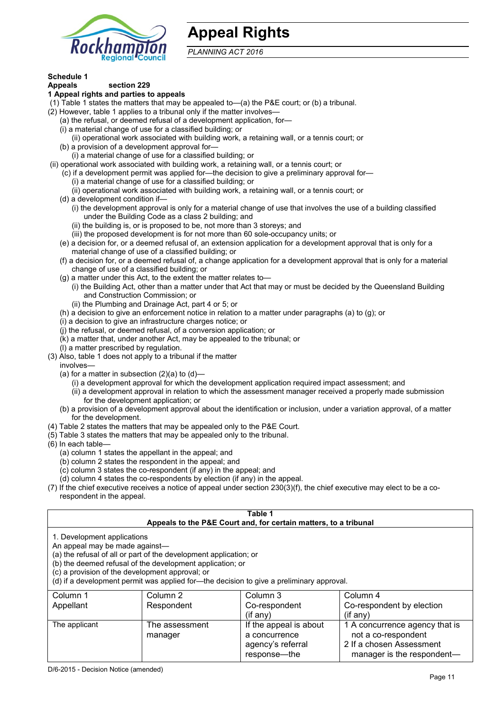

### **Appeal Rights**

*PLANNING ACT 2016*

### **Schedule 1**

#### **Appeals section 229 1 Appeal rights and parties to appeals**

- (1) Table 1 states the matters that may be appealed to—(a) the P&E court; or (b) a tribunal.
- (2) However, table 1 applies to a tribunal only if the matter involves—
	- (a) the refusal, or deemed refusal of a development application, for—
	- (i) a material change of use for a classified building; or
	- (ii) operational work associated with building work, a retaining wall, or a tennis court; or
	- (b) a provision of a development approval for—
	- (i) a material change of use for a classified building; or
- (ii) operational work associated with building work, a retaining wall, or a tennis court; or
	- (c) if a development permit was applied for—the decision to give a preliminary approval for—
		- (i) a material change of use for a classified building; or
		- (ii) operational work associated with building work, a retaining wall, or a tennis court; or
	- (d) a development condition if—
		- (i) the development approval is only for a material change of use that involves the use of a building classified under the Building Code as a class 2 building; and
		- (ii) the building is, or is proposed to be, not more than 3 storeys; and
		- (iii) the proposed development is for not more than 60 sole-occupancy units; or
	- (e) a decision for, or a deemed refusal of, an extension application for a development approval that is only for a material change of use of a classified building; or
	- (f) a decision for, or a deemed refusal of, a change application for a development approval that is only for a material change of use of a classified building; or
	- (g) a matter under this Act, to the extent the matter relates to—
		- (i) the Building Act, other than a matter under that Act that may or must be decided by the Queensland Building and Construction Commission; or
		- (ii) the Plumbing and Drainage Act, part 4 or 5; or
	- (h) a decision to give an enforcement notice in relation to a matter under paragraphs (a) to (g); or
	- (i) a decision to give an infrastructure charges notice; or
	- (j) the refusal, or deemed refusal, of a conversion application; or
	- (k) a matter that, under another Act, may be appealed to the tribunal; or
	- (l) a matter prescribed by regulation.
- (3) Also, table 1 does not apply to a tribunal if the matter
- involves—
	- (a) for a matter in subsection  $(2)(a)$  to  $(d)$ -
		- (i) a development approval for which the development application required impact assessment; and
		- (ii) a development approval in relation to which the assessment manager received a properly made submission for the development application; or
	- (b) a provision of a development approval about the identification or inclusion, under a variation approval, of a matter for the development.
- (4) Table 2 states the matters that may be appealed only to the P&E Court.
- (5) Table 3 states the matters that may be appealed only to the tribunal.
- (6) In each table—
	- (a) column 1 states the appellant in the appeal; and
	- (b) column 2 states the respondent in the appeal; and
	- (c) column 3 states the co-respondent (if any) in the appeal; and
	- (d) column 4 states the co-respondents by election (if any) in the appeal.
- (7) If the chief executive receives a notice of appeal under section 230(3)(f), the chief executive may elect to be a corespondent in the appeal.

| Table 1<br>Appeals to the P&E Court and, for certain matters, to a tribunal                                                                                                                                                                                                                                                                    |                |                        |                                |
|------------------------------------------------------------------------------------------------------------------------------------------------------------------------------------------------------------------------------------------------------------------------------------------------------------------------------------------------|----------------|------------------------|--------------------------------|
| 1. Development applications<br>An appeal may be made against-<br>(a) the refusal of all or part of the development application; or<br>(b) the deemed refusal of the development application; or<br>(c) a provision of the development approval; or<br>(d) if a development permit was applied for—the decision to give a preliminary approval. |                |                        |                                |
| Column 1                                                                                                                                                                                                                                                                                                                                       | Column 2       | Column 3               | Column 4                       |
| Appellant                                                                                                                                                                                                                                                                                                                                      | Respondent     | Co-respondent          | Co-respondent by election      |
|                                                                                                                                                                                                                                                                                                                                                |                | $($ if any $)$         | $(i$ f any $)$                 |
| The applicant                                                                                                                                                                                                                                                                                                                                  | The assessment | If the appeal is about | 1 A concurrence agency that is |
|                                                                                                                                                                                                                                                                                                                                                | manager        | a concurrence          | not a co-respondent            |
|                                                                                                                                                                                                                                                                                                                                                |                | agency's referral      | 2 If a chosen Assessment       |
|                                                                                                                                                                                                                                                                                                                                                |                | response—the           | manager is the respondent—     |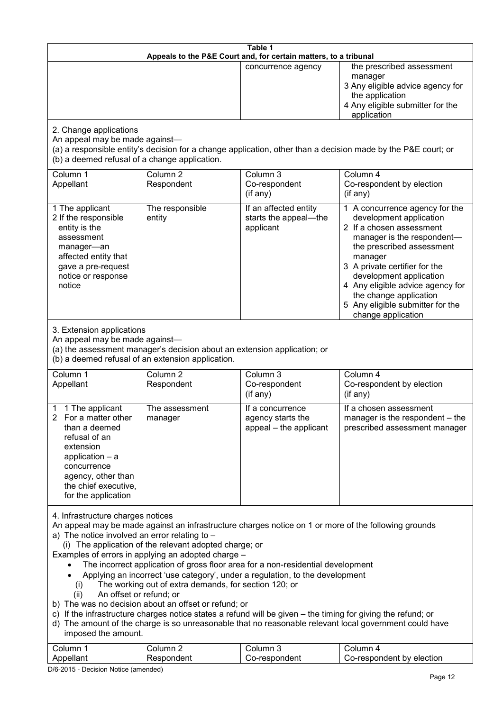| Table 1<br>Appeals to the P&E Court and, for certain matters, to a tribunal                                                                                                                                                                                                                                                                                                                                                                                                                                                                                                                                                                                                                                                                                                                                                                                                                                                                 |                                                                                                                               |                                                                 |                                                                                                                                                                                                                                                                                                                                                 |  |
|---------------------------------------------------------------------------------------------------------------------------------------------------------------------------------------------------------------------------------------------------------------------------------------------------------------------------------------------------------------------------------------------------------------------------------------------------------------------------------------------------------------------------------------------------------------------------------------------------------------------------------------------------------------------------------------------------------------------------------------------------------------------------------------------------------------------------------------------------------------------------------------------------------------------------------------------|-------------------------------------------------------------------------------------------------------------------------------|-----------------------------------------------------------------|-------------------------------------------------------------------------------------------------------------------------------------------------------------------------------------------------------------------------------------------------------------------------------------------------------------------------------------------------|--|
|                                                                                                                                                                                                                                                                                                                                                                                                                                                                                                                                                                                                                                                                                                                                                                                                                                                                                                                                             |                                                                                                                               | concurrence agency                                              | the prescribed assessment<br>manager<br>3 Any eligible advice agency for<br>the application<br>4 Any eligible submitter for the<br>application                                                                                                                                                                                                  |  |
| 2. Change applications<br>An appeal may be made against-<br>(b) a deemed refusal of a change application.                                                                                                                                                                                                                                                                                                                                                                                                                                                                                                                                                                                                                                                                                                                                                                                                                                   |                                                                                                                               |                                                                 | (a) a responsible entity's decision for a change application, other than a decision made by the P&E court; or                                                                                                                                                                                                                                   |  |
| Column 1<br>Appellant                                                                                                                                                                                                                                                                                                                                                                                                                                                                                                                                                                                                                                                                                                                                                                                                                                                                                                                       | Column <sub>2</sub><br>Respondent                                                                                             | Column 3<br>Co-respondent<br>(if any)                           | Column 4<br>Co-respondent by election<br>(if any)                                                                                                                                                                                                                                                                                               |  |
| 1 The applicant<br>2 If the responsible<br>entity is the<br>assessment<br>manager-an<br>affected entity that<br>gave a pre-request<br>notice or response<br>notice                                                                                                                                                                                                                                                                                                                                                                                                                                                                                                                                                                                                                                                                                                                                                                          | The responsible<br>entity                                                                                                     | If an affected entity<br>starts the appeal-the<br>applicant     | 1 A concurrence agency for the<br>development application<br>2 If a chosen assessment<br>manager is the respondent-<br>the prescribed assessment<br>manager<br>3 A private certifier for the<br>development application<br>4 Any eligible advice agency for<br>the change application<br>5 Any eligible submitter for the<br>change application |  |
| 3. Extension applications<br>An appeal may be made against-                                                                                                                                                                                                                                                                                                                                                                                                                                                                                                                                                                                                                                                                                                                                                                                                                                                                                 | (a) the assessment manager's decision about an extension application; or<br>(b) a deemed refusal of an extension application. |                                                                 |                                                                                                                                                                                                                                                                                                                                                 |  |
| Column 1<br>Appellant                                                                                                                                                                                                                                                                                                                                                                                                                                                                                                                                                                                                                                                                                                                                                                                                                                                                                                                       | Column <sub>2</sub><br>Respondent                                                                                             | Column 3<br>Co-respondent<br>(if any)                           | Column 4<br>Co-respondent by election<br>(if any)                                                                                                                                                                                                                                                                                               |  |
| 1 The applicant<br>2 For a matter other<br>than a deemed<br>refusal of an<br>extension<br>application $-$ a<br>concurrence<br>agency, other than<br>the chief executive,<br>for the application                                                                                                                                                                                                                                                                                                                                                                                                                                                                                                                                                                                                                                                                                                                                             | The assessment<br>manager                                                                                                     | If a concurrence<br>agency starts the<br>appeal - the applicant | If a chosen assessment<br>manager is the respondent - the<br>prescribed assessment manager                                                                                                                                                                                                                                                      |  |
| 4. Infrastructure charges notices<br>An appeal may be made against an infrastructure charges notice on 1 or more of the following grounds<br>a) The notice involved an error relating to $-$<br>(i) The application of the relevant adopted charge; or<br>Examples of errors in applying an adopted charge -<br>The incorrect application of gross floor area for a non-residential development<br>Applying an incorrect 'use category', under a regulation, to the development<br>The working out of extra demands, for section 120; or<br>(i)<br>An offset or refund; or<br>(ii)<br>b) The was no decision about an offset or refund; or<br>c) If the infrastructure charges notice states a refund will be given – the timing for giving the refund; or<br>d) The amount of the charge is so unreasonable that no reasonable relevant local government could have<br>imposed the amount.<br>Column 3<br>Column 1<br>Column 2<br>Column 4 |                                                                                                                               |                                                                 |                                                                                                                                                                                                                                                                                                                                                 |  |
| Appellant                                                                                                                                                                                                                                                                                                                                                                                                                                                                                                                                                                                                                                                                                                                                                                                                                                                                                                                                   | Respondent                                                                                                                    | Co-respondent                                                   | Co-respondent by election                                                                                                                                                                                                                                                                                                                       |  |

D/6-2015 - Decision Notice (amended)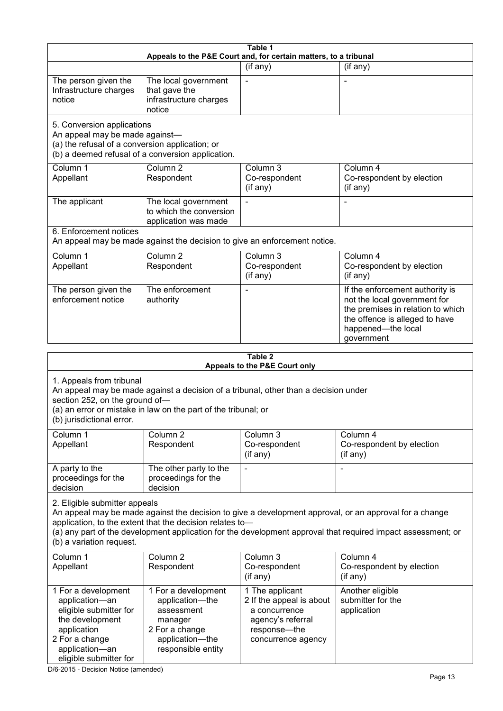|                                                                                                                                                                                                                                                  |                                                                                                                            | Table 1<br>Appeals to the P&E Court and, for certain matters, to a tribunal                                             |                                                                                                                                                                                                                        |  |  |
|--------------------------------------------------------------------------------------------------------------------------------------------------------------------------------------------------------------------------------------------------|----------------------------------------------------------------------------------------------------------------------------|-------------------------------------------------------------------------------------------------------------------------|------------------------------------------------------------------------------------------------------------------------------------------------------------------------------------------------------------------------|--|--|
|                                                                                                                                                                                                                                                  |                                                                                                                            | (if any)                                                                                                                | (if any)                                                                                                                                                                                                               |  |  |
| The person given the<br>Infrastructure charges<br>notice                                                                                                                                                                                         | The local government<br>that gave the<br>infrastructure charges<br>notice                                                  |                                                                                                                         |                                                                                                                                                                                                                        |  |  |
| 5. Conversion applications<br>An appeal may be made against-<br>(a) the refusal of a conversion application; or                                                                                                                                  | (b) a deemed refusal of a conversion application.                                                                          |                                                                                                                         |                                                                                                                                                                                                                        |  |  |
| Column 1<br>Appellant                                                                                                                                                                                                                            | Column <sub>2</sub><br>Respondent                                                                                          | Column 3<br>Co-respondent<br>(if any)                                                                                   | Column 4<br>Co-respondent by election<br>(if any)                                                                                                                                                                      |  |  |
| The applicant                                                                                                                                                                                                                                    | The local government<br>to which the conversion<br>application was made                                                    |                                                                                                                         |                                                                                                                                                                                                                        |  |  |
| 6. Enforcement notices                                                                                                                                                                                                                           | An appeal may be made against the decision to give an enforcement notice.                                                  |                                                                                                                         |                                                                                                                                                                                                                        |  |  |
| Column 1<br>Appellant                                                                                                                                                                                                                            | Column <sub>2</sub><br>Respondent                                                                                          | Column 3<br>Co-respondent<br>(if any)                                                                                   | Column 4<br>Co-respondent by election<br>(if any)                                                                                                                                                                      |  |  |
| The person given the<br>enforcement notice                                                                                                                                                                                                       | The enforcement<br>authority                                                                                               |                                                                                                                         | If the enforcement authority is<br>not the local government for<br>the premises in relation to which<br>the offence is alleged to have<br>happened-the local<br>government                                             |  |  |
| Table 2                                                                                                                                                                                                                                          |                                                                                                                            |                                                                                                                         |                                                                                                                                                                                                                        |  |  |
| Appeals to the P&E Court only                                                                                                                                                                                                                    |                                                                                                                            |                                                                                                                         |                                                                                                                                                                                                                        |  |  |
| 1. Appeals from tribunal<br>An appeal may be made against a decision of a tribunal, other than a decision under<br>section 252, on the ground of-<br>(a) an error or mistake in law on the part of the tribunal; or<br>(b) jurisdictional error. |                                                                                                                            |                                                                                                                         |                                                                                                                                                                                                                        |  |  |
| Column 1<br>Appellant                                                                                                                                                                                                                            | Column 2<br>Respondent                                                                                                     | Column 3<br>Co-respondent<br>(if any)                                                                                   | Column 4<br>Co-respondent by election<br>(if any)                                                                                                                                                                      |  |  |
| A party to the<br>proceedings for the<br>decision                                                                                                                                                                                                | The other party to the<br>proceedings for the<br>decision                                                                  | $\blacksquare$                                                                                                          | L,                                                                                                                                                                                                                     |  |  |
| 2. Eligible submitter appeals<br>(b) a variation request.                                                                                                                                                                                        | application, to the extent that the decision relates to-                                                                   |                                                                                                                         | An appeal may be made against the decision to give a development approval, or an approval for a change<br>(a) any part of the development application for the development approval that required impact assessment; or |  |  |
| Column 1<br>Appellant                                                                                                                                                                                                                            | Column <sub>2</sub><br>Respondent                                                                                          | Column 3<br>Co-respondent<br>(if any)                                                                                   | Column 4<br>Co-respondent by election<br>(if any)                                                                                                                                                                      |  |  |
| 1 For a development<br>application-an<br>eligible submitter for<br>the development<br>application<br>2 For a change<br>application-an<br>eligible submitter for                                                                                  | 1 For a development<br>application-the<br>assessment<br>manager<br>2 For a change<br>application-the<br>responsible entity | 1 The applicant<br>2 If the appeal is about<br>a concurrence<br>agency's referral<br>response-the<br>concurrence agency | Another eligible<br>submitter for the<br>application                                                                                                                                                                   |  |  |

D/6-2015 - Decision Notice (amended)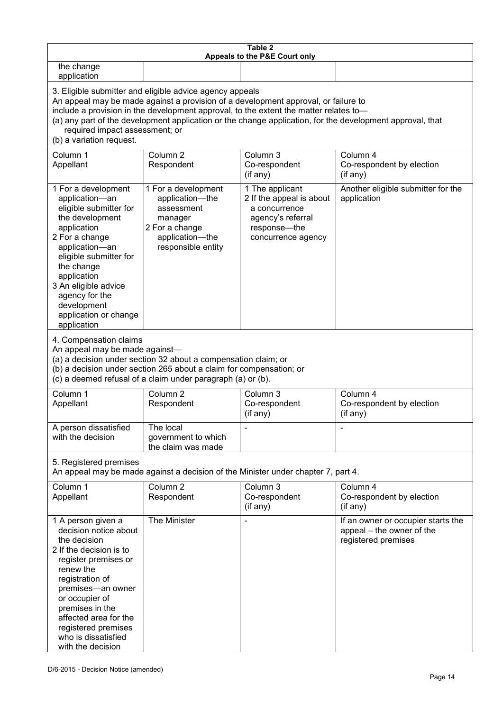| Table 2<br>Appeals to the P&E Court only                                                                                                                                                                                                                                                             |                                                                                                                                                                                                                                                                                                                                                                                        |                                                                                                                         |                                                                                        |  |  |
|------------------------------------------------------------------------------------------------------------------------------------------------------------------------------------------------------------------------------------------------------------------------------------------------------|----------------------------------------------------------------------------------------------------------------------------------------------------------------------------------------------------------------------------------------------------------------------------------------------------------------------------------------------------------------------------------------|-------------------------------------------------------------------------------------------------------------------------|----------------------------------------------------------------------------------------|--|--|
| the change<br>application                                                                                                                                                                                                                                                                            |                                                                                                                                                                                                                                                                                                                                                                                        |                                                                                                                         |                                                                                        |  |  |
| (b) a variation request.                                                                                                                                                                                                                                                                             | 3. Eligible submitter and eligible advice agency appeals<br>An appeal may be made against a provision of a development approval, or failure to<br>include a provision in the development approval, to the extent the matter relates to-<br>(a) any part of the development application or the change application, for the development approval, that<br>required impact assessment; or |                                                                                                                         |                                                                                        |  |  |
| Column 1<br>Appellant                                                                                                                                                                                                                                                                                | Column 2<br>Respondent                                                                                                                                                                                                                                                                                                                                                                 | Column 3<br>Co-respondent<br>(if any)                                                                                   | Column 4<br>Co-respondent by election<br>(if any)                                      |  |  |
| 1 For a development<br>application-an<br>eligible submitter for<br>the development<br>application<br>2 For a change<br>application-an<br>eligible submitter for<br>the change<br>application<br>3 An eligible advice<br>agency for the<br>development<br>application or change<br>application        | 1 For a development<br>application-the<br>assessment<br>manager<br>2 For a change<br>application-the<br>responsible entity                                                                                                                                                                                                                                                             | 1 The applicant<br>2 If the appeal is about<br>a concurrence<br>agency's referral<br>response-the<br>concurrence agency | Another eligible submitter for the<br>application                                      |  |  |
| 4. Compensation claims<br>An appeal may be made against-<br>(a) a decision under section 32 about a compensation claim; or<br>(b) a decision under section 265 about a claim for compensation; or<br>(c) a deemed refusal of a claim under paragraph (a) or (b).                                     |                                                                                                                                                                                                                                                                                                                                                                                        |                                                                                                                         |                                                                                        |  |  |
| Column 1<br>Appellant                                                                                                                                                                                                                                                                                | Column <sub>2</sub><br>Respondent                                                                                                                                                                                                                                                                                                                                                      | Column 3<br>Co-respondent<br>(if any)                                                                                   | Column 4<br>Co-respondent by election<br>(if any)                                      |  |  |
| A person dissatisfied<br>with the decision                                                                                                                                                                                                                                                           | The local<br>government to which<br>the claim was made                                                                                                                                                                                                                                                                                                                                 |                                                                                                                         |                                                                                        |  |  |
| 5. Registered premises<br>An appeal may be made against a decision of the Minister under chapter 7, part 4.                                                                                                                                                                                          |                                                                                                                                                                                                                                                                                                                                                                                        |                                                                                                                         |                                                                                        |  |  |
| Column 1<br>Appellant                                                                                                                                                                                                                                                                                | Column <sub>2</sub><br>Respondent                                                                                                                                                                                                                                                                                                                                                      | Column 3<br>Co-respondent<br>(if any)                                                                                   | Column 4<br>Co-respondent by election<br>(if any)                                      |  |  |
| 1 A person given a<br>decision notice about<br>the decision<br>2 If the decision is to<br>register premises or<br>renew the<br>registration of<br>premises-an owner<br>or occupier of<br>premises in the<br>affected area for the<br>registered premises<br>who is dissatisfied<br>with the decision | The Minister                                                                                                                                                                                                                                                                                                                                                                           |                                                                                                                         | If an owner or occupier starts the<br>appeal – the owner of the<br>registered premises |  |  |